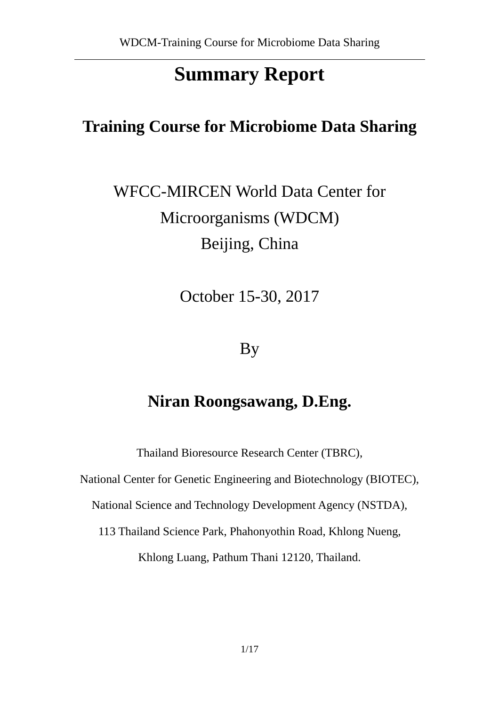# **Summary Report**

## **Training Course for Microbiome Data Sharing**

WFCC-MIRCEN World Data Center for Microorganisms (WDCM) Beijing, China

October 15-30, 2017

## By

## **Niran Roongsawang, D.Eng.**

Thailand Bioresource Research Center (TBRC),

National Center for Genetic Engineering and Biotechnology (BIOTEC),

National Science and Technology Development Agency (NSTDA),

113 Thailand Science Park, Phahonyothin Road, Khlong Nueng,

Khlong Luang, Pathum Thani 12120, Thailand.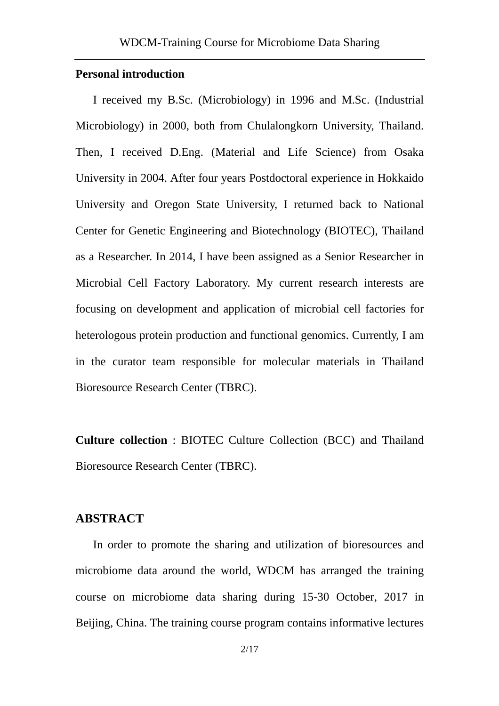#### **Personal introduction**

I received my B.Sc. (Microbiology) in 1996 and M.Sc. (Industrial Microbiology) in 2000, both from Chulalongkorn University, Thailand. Then, I received D.Eng. (Material and Life Science) from Osaka University in 2004. After four years Postdoctoral experience in Hokkaido University and Oregon State University, I returned back to National Center for Genetic Engineering and Biotechnology (BIOTEC), Thailand as a Researcher. In 2014, I have been assigned as a Senior Researcher in Microbial Cell Factory Laboratory. My current research interests are focusing on development and application of microbial cell factories for heterologous protein production and functional genomics. Currently, I am in the curator team responsible for molecular materials in Thailand Bioresource Research Center (TBRC).

**Culture collection** : BIOTEC Culture Collection (BCC) and Thailand Bioresource Research Center (TBRC).

### **ABSTRACT**

In order to promote the sharing and utilization of bioresources and microbiome data around the world, WDCM has arranged the training course on microbiome data sharing during 15-30 October, 2017 in Beijing, China. The training course program contains informative lectures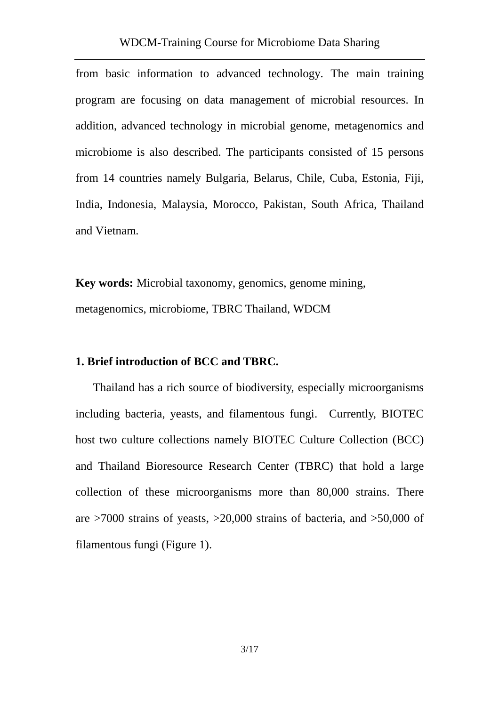from basic information to advanced technology. The main training program are focusing on data management of microbial resources. In addition, advanced technology in microbial genome, metagenomics and microbiome is also described. The participants consisted of 15 persons from 14 countries namely Bulgaria, Belarus, Chile, Cuba, Estonia, Fiji, India, Indonesia, Malaysia, Morocco, Pakistan, South Africa, Thailand and Vietnam.

**Key words:** Microbial taxonomy, genomics, genome mining, metagenomics, microbiome, TBRC Thailand, WDCM

#### **1. Brief introduction of BCC and TBRC.**

Thailand has a rich source of biodiversity, especially microorganisms including bacteria, yeasts, and filamentous fungi. Currently, BIOTEC host two culture collections namely BIOTEC Culture Collection (BCC) and Thailand Bioresource Research Center (TBRC) that hold a large collection of these microorganisms more than 80,000 strains. There are  $>7000$  strains of yeasts,  $>20,000$  strains of bacteria, and  $>50,000$  of filamentous fungi (Figure 1).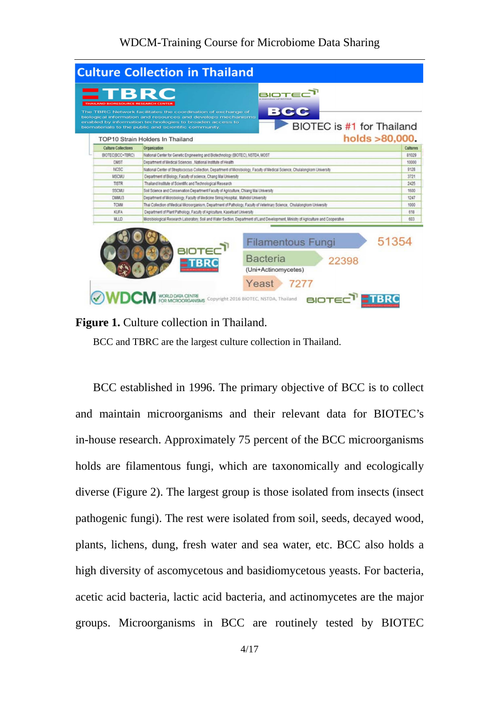

### **Figure 1.** Culture collection in Thailand.

BCC and TBRC are the largest culture collection in Thailand.

BCC established in 1996. The primary objective of BCC is to collect and maintain microorganisms and their relevant data for BIOTEC's in-house research. Approximately 75 percent of the BCC microorganisms holds are filamentous fungi, which are taxonomically and ecologically diverse (Figure 2). The largest group is those isolated from insects (insect pathogenic fungi). The rest were isolated from soil, seeds, decayed wood, plants, lichens, dung, fresh water and sea water, etc. BCC also holds a high diversity of ascomycetous and basidiomycetous yeasts. For bacteria, acetic acid bacteria, lactic acid bacteria, and actinomycetes are the major groups. Microorganisms in BCC are routinely tested by BIOTEC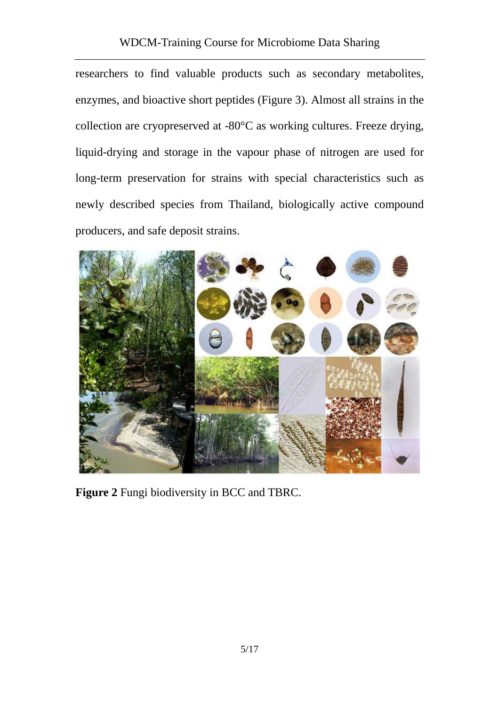researchers to find valuable products such as secondary metabolites, enzymes, and bioactive short peptides (Figure 3). Almost all strains in the collection are cryopreserved at -80°C as working cultures. Freeze drying, liquid-drying and storage in the vapour phase of nitrogen are used for long-term preservation for strains with special characteristics such as newly described species from Thailand, biologically active compound producers, and safe deposit strains.



**Figure 2** Fungi biodiversity in BCC and TBRC.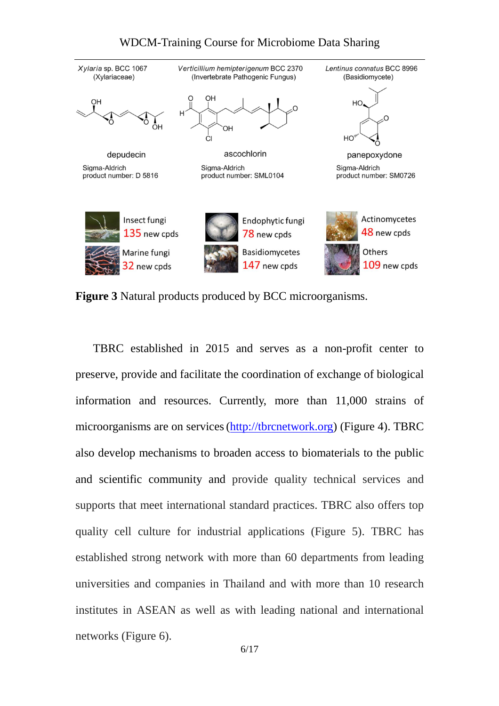

**Figure 3** Natural products produced by BCC microorganisms.

TBRC established in 2015 and serves as a non-profit center to preserve, provide and facilitate the coordination of exchange of biological information and resources. Currently, more than 11,000 strains of microorganisms are on services(http://tbrcnetwork.org) (Figure 4). TBRC also develop mechanisms to broaden access to biomaterials to the public and scientific community and provide quality technical services and supports that meet international standard practices. TBRC also offers top quality cell culture for industrial applications (Figure 5). TBRC has established strong network with more than 60 departments from leading universities and companies in Thailand and with more than 10 research institutes in ASEAN as well as with leading national and international networks (Figure 6).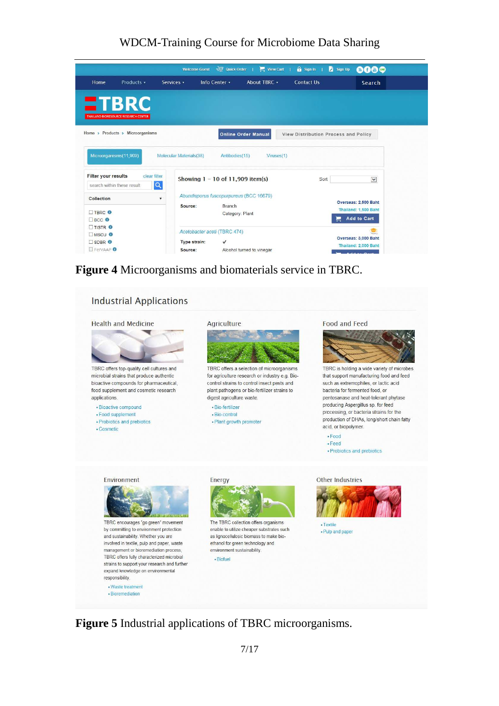|                                                                                     | <b>Welcome Guest</b>               |                                                                                        | $\frac{1}{2}$ Quick Order   $\frac{1}{2}$ View Cart | $\hat{\mathbf{a}}$ Sign In           | Sign Up<br>60⊖¢      |
|-------------------------------------------------------------------------------------|------------------------------------|----------------------------------------------------------------------------------------|-----------------------------------------------------|--------------------------------------|----------------------|
| Home<br>Products v                                                                  | Services v                         | Info Center v                                                                          | About TBRC +                                        | Contact Us                           | Search               |
| <b>ETBRC</b>                                                                        |                                    |                                                                                        |                                                     |                                      |                      |
| <b>THAILAND BIORESOURCE RESEARCH CENTER</b>                                         |                                    |                                                                                        |                                                     |                                      |                      |
| Home > Products > Microorganisms                                                    |                                    |                                                                                        |                                                     |                                      |                      |
|                                                                                     |                                    | <b>Online Order Manual</b>                                                             |                                                     | View Distribution Process and Policy |                      |
| Microorganisms(11,909)                                                              | Molecular Materials(38)            | Antibodies(15)                                                                         | Viruses(1)                                          |                                      |                      |
|                                                                                     |                                    |                                                                                        |                                                     |                                      |                      |
| <b>Filter your results</b><br>clear filter                                          | Showing $1 - 10$ of 11,909 item(s) |                                                                                        |                                                     | Sort                                 | $\checkmark$         |
| $\alpha$<br>search within these result                                              |                                    |                                                                                        |                                                     |                                      |                      |
| Collection<br>$\mathbf{v}$                                                          |                                    | Abundisporus fuscopurpureus (BCC 16679)<br><b>Branch</b><br>Source:<br>Category: Plant |                                                     |                                      | Overseas: 2.500 Baht |
| <b>TRRC</b> O                                                                       |                                    |                                                                                        |                                                     |                                      | Thailand: 1,500 Baht |
| $\Box$ BCC $\odot$                                                                  |                                    |                                                                                        |                                                     |                                      | <b>Add to Cart</b>   |
| $\Box$ TISTR $\bullet$<br>$MSCU$ $\odot$<br><b>TISDBR</b> O<br>FerVAAP <sup>O</sup> | Acetobacter aceti (TBRC 474)       |                                                                                        |                                                     |                                      |                      |
|                                                                                     | Type strain:<br>$\checkmark$       |                                                                                        |                                                     |                                      | Overseas: 3,000 Baht |
|                                                                                     | Source:                            | Alcohol turned to vinegar                                                              |                                                     |                                      | Thailand: 2,000 Baht |

**Figure 4** Microorganisms and biomaterials service in TBRC.



**Figure 5** Industrial applications of TBRC microorganisms.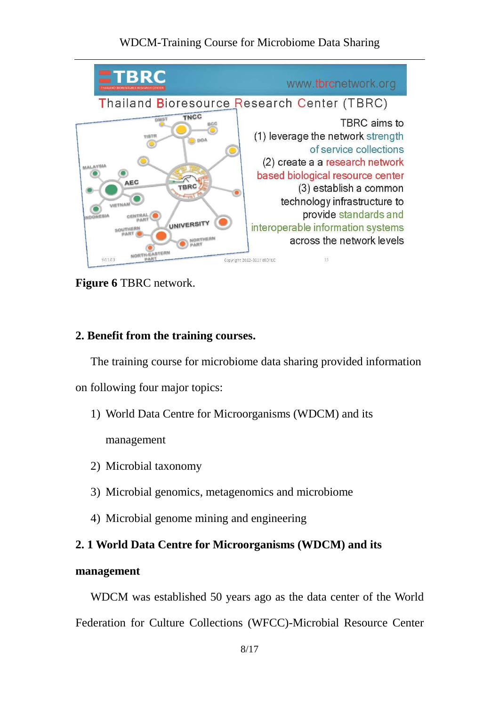

**Figure 6** TBRC network.

## **2. Benefit from the training courses.**

The training course for microbiome data sharing provided information

on following four major topics:

1) World Data Centre for Microorganisms (WDCM) and its

management

- 2) Microbial taxonomy
- 3) Microbial genomics, metagenomics and microbiome
- 4) Microbial genome mining and engineering

## **2. 1 World Data Centre for Microorganisms (WDCM) and its**

## **management**

WDCM was established 50 years ago as the data center of the World Federation for Culture Collections (WFCC)-Microbial Resource Center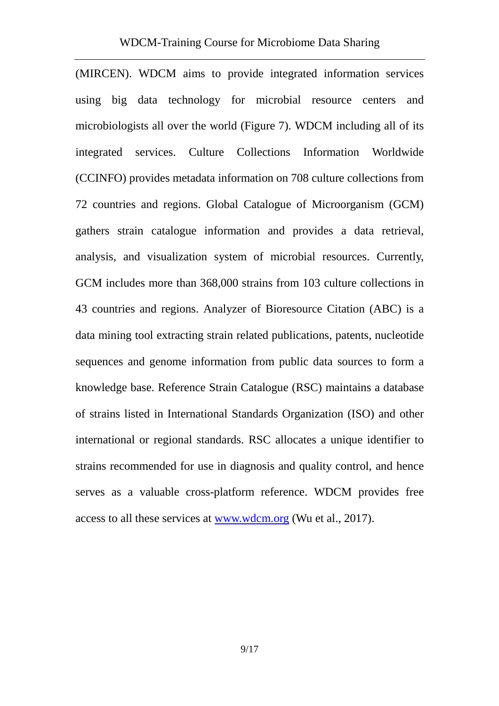(MIRCEN). WDCM aims to provide integrated information services using big data technology for microbial resource centers and microbiologists all over the world (Figure 7). WDCM including all of its integrated services. Culture Collections Information Worldwide (CCINFO) provides metadata information on 708 culture collections from 72 countries and regions. Global Catalogue of Microorganism (GCM) gathers strain catalogue information and provides a data retrieval, analysis, and visualization system of microbial resources. Currently, GCM includes more than 368,000 strains from 103 culture collections in 43 countries and regions. Analyzer of Bioresource Citation (ABC) is a data mining tool extracting strain related publications, patents, nucleotide sequences and genome information from public data sources to form a knowledge base. Reference Strain Catalogue (RSC) maintains a database of strains listed in International Standards Organization (ISO) and other international or regional standards. RSC allocates a unique identifier to strains recommended for use in diagnosis and quality control, and hence serves as a valuable cross-platform reference. WDCM provides free access to all these services at www.wdcm.org (Wu et al., 2017).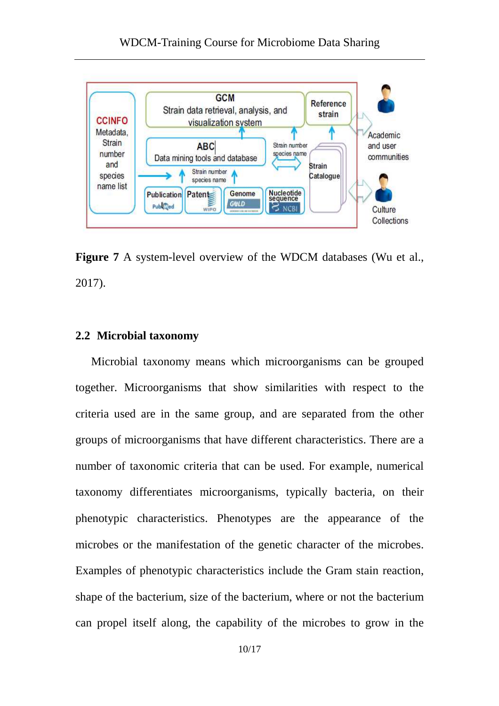

Figure 7 A system-level overview of the WDCM databases (Wu et al., 2017).

#### **2.2 Microbial taxonomy**

Microbial taxonomy means which microorganisms can be grouped together. Microorganisms that show similarities with respect to the criteria used are in the same group, and are separated from the other groups of microorganisms that have different characteristics. There are a number of taxonomic criteria that can be used. For example, numerical taxonomy differentiates microorganisms, typically bacteria, on their phenotypic characteristics. Phenotypes are the appearance of the microbes or the manifestation of the genetic character of the microbes. Examples of phenotypic characteristics include the Gram stain reaction, shape of the bacterium, size of the bacterium, where or not the bacterium can propel itself along, the capability of the microbes to grow in the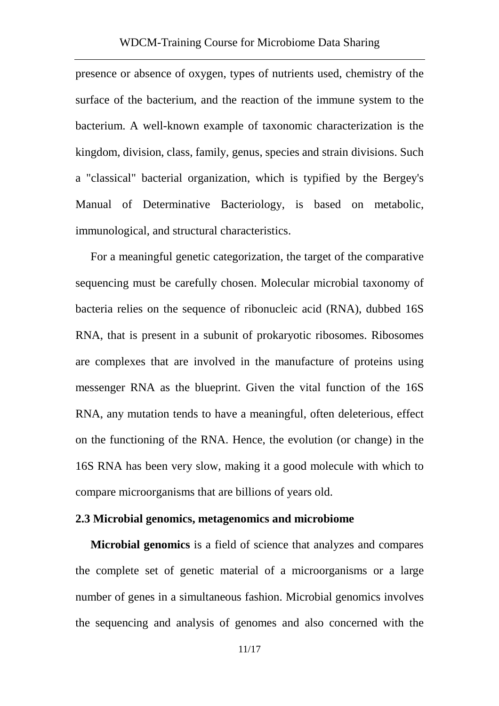presence or absence of oxygen, types of nutrients used, chemistry of the surface of the bacterium, and the reaction of the immune system to the bacterium. A well-known example of taxonomic characterization is the kingdom, division, class, family, genus, species and strain divisions. Such a "classical" bacterial organization, which is typified by the Bergey's Manual of Determinative Bacteriology, is based on metabolic, immunological, and structural characteristics.

For a meaningful genetic categorization, the target of the comparative sequencing must be carefully chosen. Molecular microbial taxonomy of bacteria relies on the sequence of ribonucleic acid (RNA), dubbed 16S RNA, that is present in a subunit of prokaryotic ribosomes. Ribosomes are complexes that are involved in the manufacture of proteins using messenger RNA as the blueprint. Given the vital function of the 16S RNA, any mutation tends to have a meaningful, often deleterious, effect on the functioning of the RNA. Hence, the evolution (or change) in the 16S RNA has been very slow, making it a good molecule with which to compare microorganisms that are billions of years old.

## **2.3 Microbial genomics, metagenomics and microbiome**

**Microbial genomics** is a field of science that analyzes and compares the complete set of genetic material of a microorganisms or a large number of genes in a simultaneous fashion. Microbial genomics involves the sequencing and analysis of genomes and also concerned with the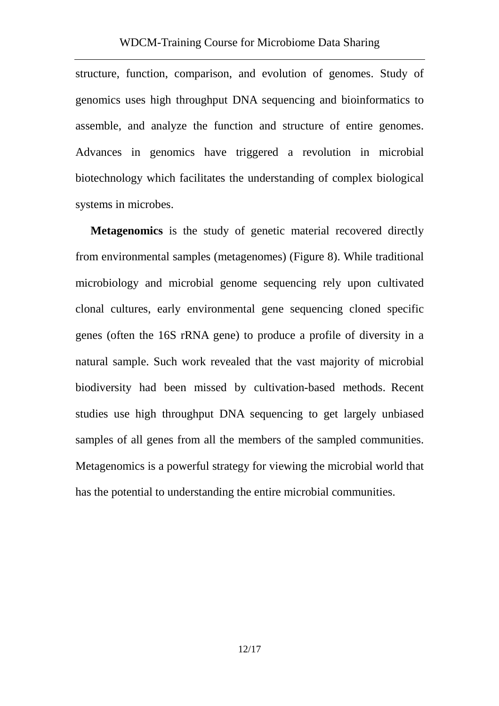structure, function, comparison, and evolution of genomes. Study of genomics uses high throughput DNA sequencing and bioinformatics to assemble, and analyze the function and structure of entire genomes. Advances in genomics have triggered a revolution in microbial biotechnology which facilitates the understanding of complex biological systems in microbes.

**Metagenomics** is the study of genetic material recovered directly from environmental samples (metagenomes) (Figure 8). While traditional microbiology and microbial genome sequencing rely upon cultivated clonal cultures, early environmental gene sequencing cloned specific genes (often the 16S rRNA gene) to produce a profile of diversity in a natural sample. Such work revealed that the vast majority of microbial biodiversity had been missed by cultivation-based methods. Recent studies use high throughput DNA sequencing to get largely unbiased samples of all genes from all the members of the sampled communities. Metagenomics is a powerful strategy for viewing the microbial world that has the potential to understanding the entire microbial communities.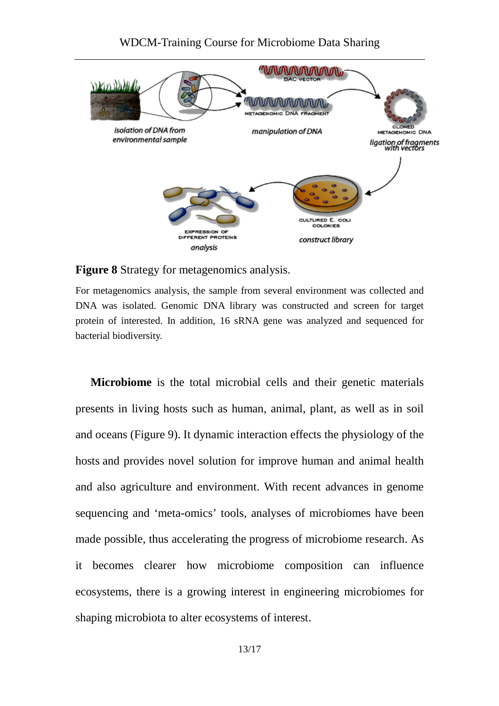

#### **Figure 8** Strategy for metagenomics analysis.

For metagenomics analysis, the sample from several environment was collected and DNA was isolated. Genomic DNA library was constructed and screen for target protein of interested. In addition, 16 sRNA gene was analyzed and sequenced for bacterial biodiversity.

**Microbiome** is the total microbial cells and their genetic materials presents in living hosts such as human, animal, plant, as well as in soil and oceans (Figure 9). It dynamic interaction effects the physiology of the hosts and provides novel solution for improve human and animal health and also agriculture and environment. With recent advances in genome sequencing and 'meta-omics' tools, analyses of microbiomes have been made possible, thus accelerating the progress of microbiome research. As it becomes clearer how microbiome composition can influence ecosystems, there is a growing interest in engineering microbiomes for shaping microbiota to alter ecosystems of interest.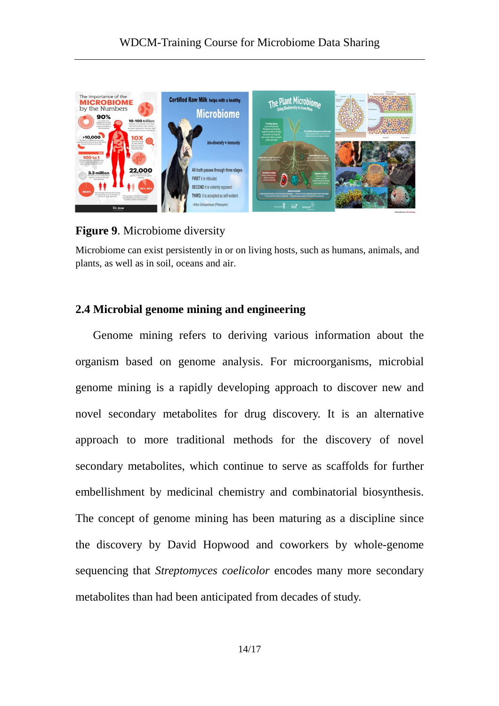

## **Figure 9**. Microbiome diversity

Microbiome can exist persistently in or on living hosts, such as humans, animals, and plants, as well as in soil, oceans and air.

## **2.4 Microbial genome mining and engineering**

Genome mining refers to deriving various information about the organism based on genome analysis. For microorganisms, microbial genome mining is a rapidly developing approach to discover new and novel secondary metabolites for drug discovery. It is an alternative approach to more traditional methods for the discovery of novel secondary metabolites, which continue to serve as scaffolds for further embellishment by medicinal chemistry and combinatorial biosynthesis. The concept of genome mining has been maturing as a discipline since the discovery by David Hopwood and coworkers by whole-genome sequencing that *Streptomyces coelicolor* encodes many more secondary metabolites than had been anticipated from decades of study.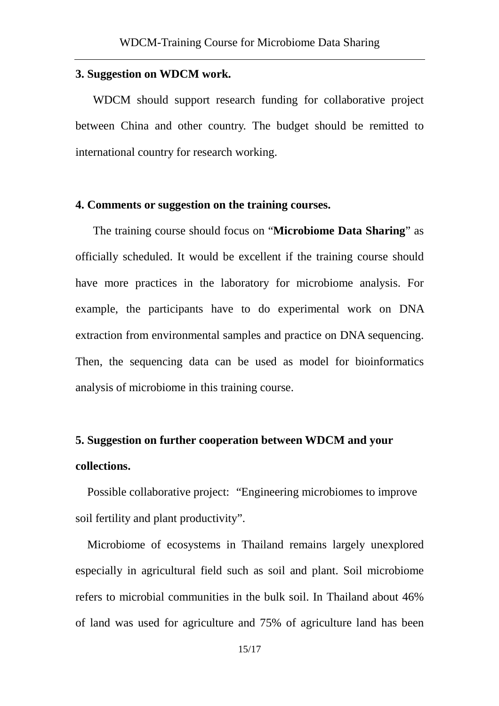#### **3. Suggestion on WDCM work.**

WDCM should support research funding for collaborative project between China and other country. The budget should be remitted to international country for research working.

### **4. Comments or suggestion on the training courses.**

The training course should focus on "**Microbiome Data Sharing**" as officially scheduled. It would be excellent if the training course should have more practices in the laboratory for microbiome analysis. For example, the participants have to do experimental work on DNA extraction from environmental samples and practice on DNA sequencing. Then, the sequencing data can be used as model for bioinformatics analysis of microbiome in this training course.

## **5. Suggestion on further cooperation between WDCM and your collections.**

Possible collaborative project: "Engineering microbiomes to improve soil fertility and plant productivity".

Microbiome of ecosystems in Thailand remains largely unexplored especially in agricultural field such as soil and plant. Soil microbiome refers to microbial communities in the bulk soil. In Thailand about 46% of land was used for agriculture and 75% of agriculture land has been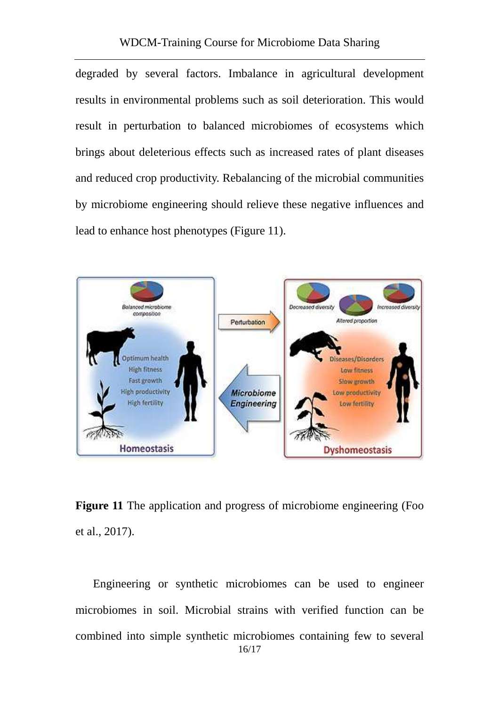degraded by several factors. Imbalance in agricultural development results in environmental problems such as soil deterioration. This would result in perturbation to balanced microbiomes of ecosystems which brings about deleterious effects such as increased rates of plant diseases and reduced crop productivity. Rebalancing of the microbial communities by microbiome engineering should relieve these negative influences and lead to enhance host phenotypes (Figure 11).



**Figure 11** The application and progress of microbiome engineering (Foo et al., 2017).

16/17 Engineering or synthetic microbiomes can be used to engineer microbiomes in soil. Microbial strains with verified function can be combined into simple synthetic microbiomes containing few to several